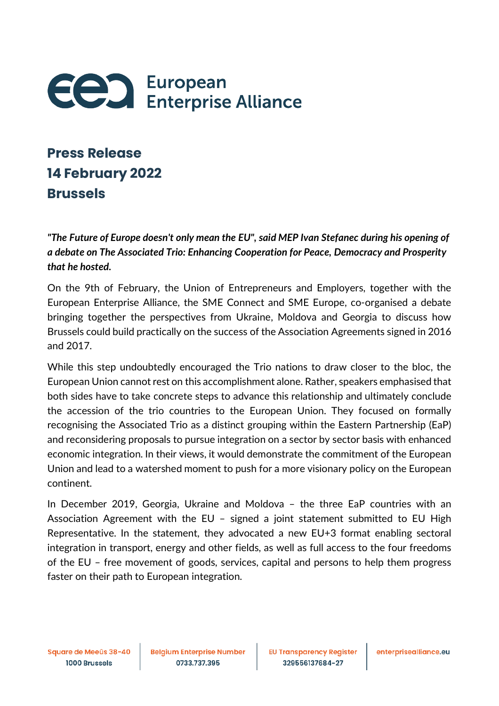

## **Press Release 14 February 2022 Brussels**

*"The Future of Europe doesn't only mean the EU", said MEP Ivan Stefanec during his opening of a debate on The Associated Trio: Enhancing Cooperation for Peace, Democracy and Prosperity that he hosted.*

On the 9th of February, the Union of Entrepreneurs and Employers, together with the European Enterprise Alliance, the SME Connect and SME Europe, co-organised a debate bringing together the perspectives from Ukraine, Moldova and Georgia to discuss how Brussels could build practically on the success of the Association Agreements signed in 2016 and 2017.

While this step undoubtedly encouraged the Trio nations to draw closer to the bloc, the European Union cannot rest on this accomplishment alone. Rather, speakers emphasised that both sides have to take concrete steps to advance this relationship and ultimately conclude the accession of the trio countries to the European Union. They focused on formally recognising the Associated Trio as a distinct grouping within the Eastern Partnership (EaP) and reconsidering proposals to pursue integration on a sector by sector basis with enhanced economic integration. In their views, it would demonstrate the commitment of the European Union and lead to a watershed moment to push for a more visionary policy on the European continent.

In December 2019, Georgia, Ukraine and Moldova – the three EaP countries with an Association Agreement with the EU – signed a joint statement submitted to EU High Representative. In the statement, they advocated a new EU+3 format enabling sectoral integration in transport, energy and other fields, as well as full access to the four freedoms of the EU – free movement of goods, services, capital and persons to help them progress faster on their path to European integration.

Square de Meeûs 38-40 1000 Brussels

**Belgium Enterprise Number** 0733.737.395

**EU Transparency Register** 329556137684-27

enterprisealliance.eu